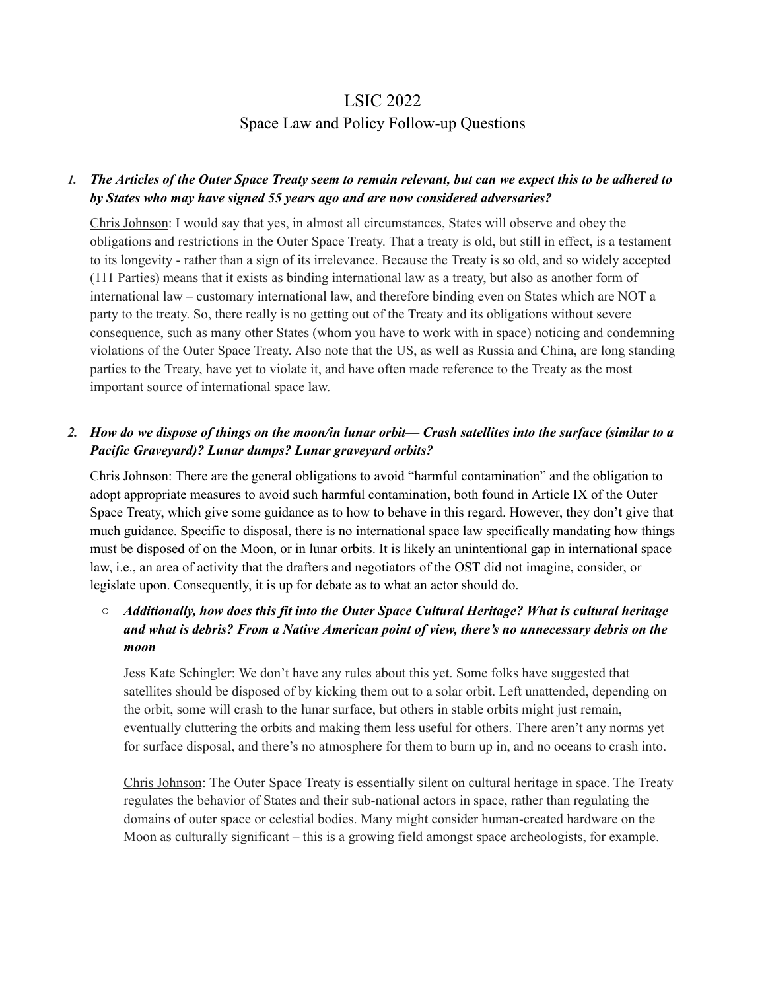# LSIC 2022 Space Law and Policy Follow-up Questions

## 1. The Articles of the Outer Space Treaty seem to remain relevant, but can we expect this to be adhered to *by States who may have signed 55 years ago and are now considered adversaries?*

Chris Johnson: I would say that yes, in almost all circumstances, States will observe and obey the obligations and restrictions in the Outer Space Treaty. That a treaty is old, but still in effect, is a testament to its longevity - rather than a sign of its irrelevance. Because the Treaty is so old, and so widely accepted (111 Parties) means that it exists as binding international law as a treaty, but also as another form of international law – customary international law, and therefore binding even on States which are NOT a party to the treaty. So, there really is no getting out of the Treaty and its obligations without severe consequence, such as many other States (whom you have to work with in space) noticing and condemning violations of the Outer Space Treaty. Also note that the US, as well as Russia and China, are long standing parties to the Treaty, have yet to violate it, and have often made reference to the Treaty as the most important source of international space law.

# 2. How do we dispose of things on the moon/in lunar orbit— Crash satellites into the surface (similar to a *Pacific Graveyard)? Lunar dumps? Lunar graveyard orbits?*

Chris Johnson: There are the general obligations to avoid "harmful contamination" and the obligation to adopt appropriate measures to avoid such harmful contamination, both found in Article IX of the Outer Space Treaty, which give some guidance as to how to behave in this regard. However, they don't give that much guidance. Specific to disposal, there is no international space law specifically mandating how things must be disposed of on the Moon, or in lunar orbits. It is likely an unintentional gap in international space law, i.e., an area of activity that the drafters and negotiators of the OST did not imagine, consider, or legislate upon. Consequently, it is up for debate as to what an actor should do.

# *○ Additionally, how does this fit into the Outer Space Cultural Heritage? What is cultural heritage and what is debris? From a Native American point of view, there's no unnecessary debris on the moon*

Jess Kate Schingler: We don't have any rules about this yet. Some folks have suggested that satellites should be disposed of by kicking them out to a solar orbit. Left unattended, depending on the orbit, some will crash to the lunar surface, but others in stable orbits might just remain, eventually cluttering the orbits and making them less useful for others. There aren't any norms yet for surface disposal, and there's no atmosphere for them to burn up in, and no oceans to crash into.

Chris Johnson: The Outer Space Treaty is essentially silent on cultural heritage in space. The Treaty regulates the behavior of States and their sub-national actors in space, rather than regulating the domains of outer space or celestial bodies. Many might consider human-created hardware on the Moon as culturally significant – this is a growing field amongst space archeologists, for example.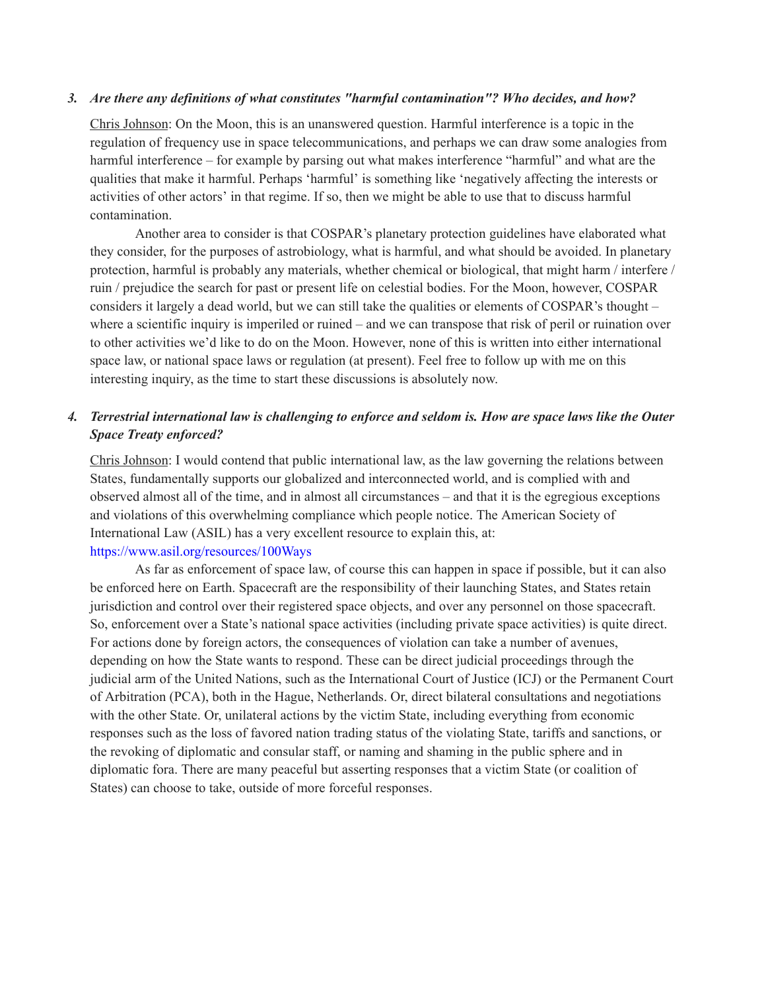#### *3. Are there any definitions of what constitutes "harmful contamination"? Who decides, and how?*

Chris Johnson: On the Moon, this is an unanswered question. Harmful interference is a topic in the regulation of frequency use in space telecommunications, and perhaps we can draw some analogies from harmful interference – for example by parsing out what makes interference "harmful" and what are the qualities that make it harmful. Perhaps 'harmful' is something like 'negatively affecting the interests or activities of other actors' in that regime. If so, then we might be able to use that to discuss harmful contamination.

Another area to consider is that COSPAR's planetary protection guidelines have elaborated what they consider, for the purposes of astrobiology, what is harmful, and what should be avoided. In planetary protection, harmful is probably any materials, whether chemical or biological, that might harm / interfere / ruin / prejudice the search for past or present life on celestial bodies. For the Moon, however, COSPAR considers it largely a dead world, but we can still take the qualities or elements of COSPAR's thought – where a scientific inquiry is imperiled or ruined – and we can transpose that risk of peril or ruination over to other activities we'd like to do on the Moon. However, none of this is written into either international space law, or national space laws or regulation (at present). Feel free to follow up with me on this interesting inquiry, as the time to start these discussions is absolutely now.

### 4. Terrestrial international law is challenging to enforce and seldom is. How are space laws like the Outer *Space Treaty enforced?*

Chris Johnson: I would contend that public international law, as the law governing the relations between States, fundamentally supports our globalized and interconnected world, and is complied with and observed almost all of the time, and in almost all circumstances – and that it is the egregious exceptions and violations of this overwhelming compliance which people notice. The American Society of International Law (ASIL) has a very excellent resource to explain this, at[:](https://www.asil.org/resources/100Ways) <https://www.asil.org/resources/100Ways>

As far as enforcement of space law, of course this can happen in space if possible, but it can also be enforced here on Earth. Spacecraft are the responsibility of their launching States, and States retain jurisdiction and control over their registered space objects, and over any personnel on those spacecraft. So, enforcement over a State's national space activities (including private space activities) is quite direct. For actions done by foreign actors, the consequences of violation can take a number of avenues, depending on how the State wants to respond. These can be direct judicial proceedings through the judicial arm of the United Nations, such as the International Court of Justice (ICJ) or the Permanent Court of Arbitration (PCA), both in the Hague, Netherlands. Or, direct bilateral consultations and negotiations with the other State. Or, unilateral actions by the victim State, including everything from economic responses such as the loss of favored nation trading status of the violating State, tariffs and sanctions, or the revoking of diplomatic and consular staff, or naming and shaming in the public sphere and in diplomatic fora. There are many peaceful but asserting responses that a victim State (or coalition of States) can choose to take, outside of more forceful responses.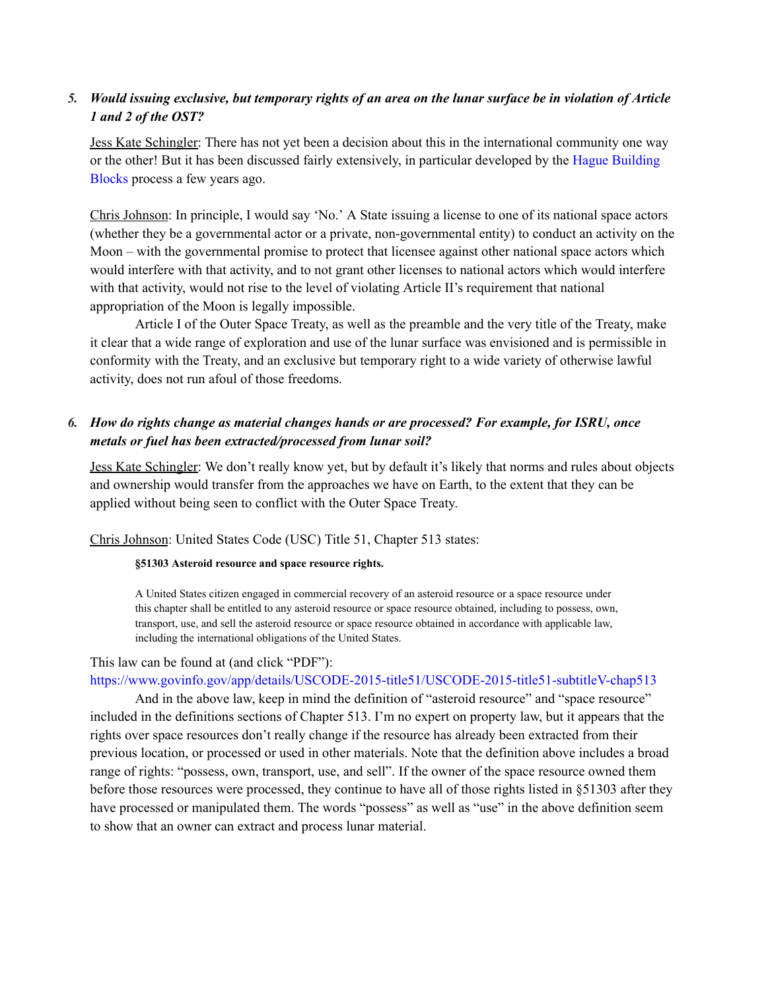### 5. Would issuing exclusive, but temporary rights of an area on the lunar surface be in violation of Article *1 and 2 of the OST?*

Jess Kate Schingler: There has not yet been a decision about this in the international community one way or the other! But it has been discussed fairly extensively, in particular developed by the Hague [Building](https://www.universiteitleiden.nl/en/law/institute-of-public-law/institute-of-air-space-law/the-hague-space-resources-governance-working-group) [Blocks](https://www.universiteitleiden.nl/en/law/institute-of-public-law/institute-of-air-space-law/the-hague-space-resources-governance-working-group) process a few years ago.

Chris Johnson: In principle, I would say 'No.' A State issuing a license to one of its national space actors (whether they be a governmental actor or a private, non-governmental entity) to conduct an activity on the Moon – with the governmental promise to protect that licensee against other national space actors which would interfere with that activity, and to not grant other licenses to national actors which would interfere with that activity, would not rise to the level of violating Article II's requirement that national appropriation of the Moon is legally impossible.

Article I of the Outer Space Treaty, as well as the preamble and the very title of the Treaty, make it clear that a wide range of exploration and use of the lunar surface was envisioned and is permissible in conformity with the Treaty, and an exclusive but temporary right to a wide variety of otherwise lawful activity, does not run afoul of those freedoms.

# *6. How do rights change as material changes hands or are processed? For example, for ISRU, once metals or fuel has been extracted/processed from lunar soil?*

Jess Kate Schingler: We don't really know yet, but by default it's likely that norms and rules about objects and ownership would transfer from the approaches we have on Earth, to the extent that they can be applied without being seen to conflict with the Outer Space Treaty.

#### Chris Johnson: United States Code (USC) Title 51, Chapter 513 states:

#### **§51303 Asteroid resource and space resource rights.**

A United States citizen engaged in commercial recovery of an asteroid resource or a space resource under this chapter shall be entitled to any asteroid resource or space resource obtained, including to possess, own, transport, use, and sell the asteroid resource or space resource obtained in accordance with applicable law, including the international obligations of the United States.

#### This law can be found at (and click "PDF")[:](https://www.govinfo.gov/app/details/USCODE-2015-title51/USCODE-2015-title51-subtitleV-chap513)

#### <https://www.govinfo.gov/app/details/USCODE-2015-title51/USCODE-2015-title51-subtitleV-chap513>

And in the above law, keep in mind the definition of "asteroid resource" and "space resource" included in the definitions sections of Chapter 513. I'm no expert on property law, but it appears that the rights over space resources don't really change if the resource has already been extracted from their previous location, or processed or used in other materials. Note that the definition above includes a broad range of rights: "possess, own, transport, use, and sell". If the owner of the space resource owned them before those resources were processed, they continue to have all of those rights listed in §51303 after they have processed or manipulated them. The words "possess" as well as "use" in the above definition seem to show that an owner can extract and process lunar material.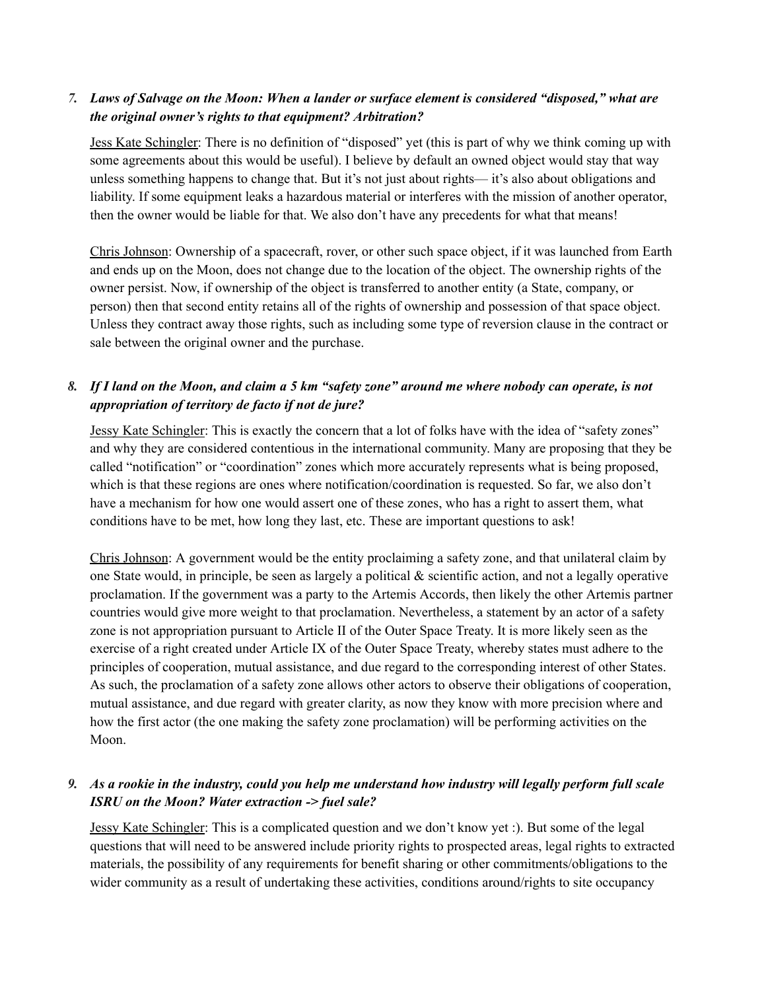## 7. Laws of Salvage on the Moon: When a lander or surface element is considered "disposed," what are *the original owner's rights to that equipment? Arbitration?*

Jess Kate Schingler: There is no definition of "disposed" yet (this is part of why we think coming up with some agreements about this would be useful). I believe by default an owned object would stay that way unless something happens to change that. But it's not just about rights— it's also about obligations and liability. If some equipment leaks a hazardous material or interferes with the mission of another operator, then the owner would be liable for that. We also don't have any precedents for what that means!

Chris Johnson: Ownership of a spacecraft, rover, or other such space object, if it was launched from Earth and ends up on the Moon, does not change due to the location of the object. The ownership rights of the owner persist. Now, if ownership of the object is transferred to another entity (a State, company, or person) then that second entity retains all of the rights of ownership and possession of that space object. Unless they contract away those rights, such as including some type of reversion clause in the contract or sale between the original owner and the purchase.

# 8. If I land on the Moon, and claim a 5 km "safety zone" around me where nobody can operate, is not *appropriation of territory de facto if not de jure?*

Jessy Kate Schingler: This is exactly the concern that a lot of folks have with the idea of "safety zones" and why they are considered contentious in the international community. Many are proposing that they be called "notification" or "coordination" zones which more accurately represents what is being proposed, which is that these regions are ones where notification/coordination is requested. So far, we also don't have a mechanism for how one would assert one of these zones, who has a right to assert them, what conditions have to be met, how long they last, etc. These are important questions to ask!

Chris Johnson: A government would be the entity proclaiming a safety zone, and that unilateral claim by one State would, in principle, be seen as largely a political  $\&$  scientific action, and not a legally operative proclamation. If the government was a party to the Artemis Accords, then likely the other Artemis partner countries would give more weight to that proclamation. Nevertheless, a statement by an actor of a safety zone is not appropriation pursuant to Article II of the Outer Space Treaty. It is more likely seen as the exercise of a right created under Article IX of the Outer Space Treaty, whereby states must adhere to the principles of cooperation, mutual assistance, and due regard to the corresponding interest of other States. As such, the proclamation of a safety zone allows other actors to observe their obligations of cooperation, mutual assistance, and due regard with greater clarity, as now they know with more precision where and how the first actor (the one making the safety zone proclamation) will be performing activities on the Moon.

### 9. As a rookie in the industry, could you help me understand how industry will legally perform full scale *ISRU on the Moon? Water extraction -> fuel sale?*

Jessy Kate Schingler: This is a complicated question and we don't know yet :). But some of the legal questions that will need to be answered include priority rights to prospected areas, legal rights to extracted materials, the possibility of any requirements for benefit sharing or other commitments/obligations to the wider community as a result of undertaking these activities, conditions around/rights to site occupancy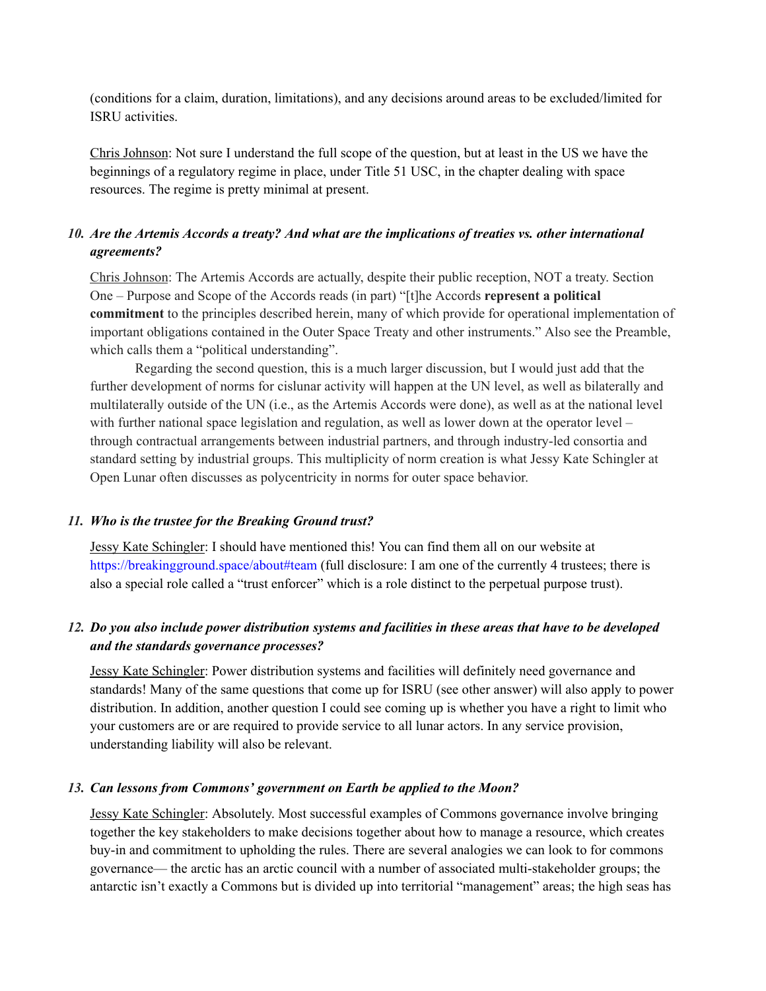(conditions for a claim, duration, limitations), and any decisions around areas to be excluded/limited for ISRU activities.

Chris Johnson: Not sure I understand the full scope of the question, but at least in the US we have the beginnings of a regulatory regime in place, under Title 51 USC, in the chapter dealing with space resources. The regime is pretty minimal at present.

# *10. Are the Artemis Accords a treaty? And what are the implications of treaties vs. other international agreements?*

Chris Johnson: The Artemis Accords are actually, despite their public reception, NOT a treaty. Section One – Purpose and Scope of the Accords reads (in part) "[t]he Accords **represent a political commitment** to the principles described herein, many of which provide for operational implementation of important obligations contained in the Outer Space Treaty and other instruments." Also see the Preamble, which calls them a "political understanding".

Regarding the second question, this is a much larger discussion, but I would just add that the further development of norms for cislunar activity will happen at the UN level, as well as bilaterally and multilaterally outside of the UN (i.e., as the Artemis Accords were done), as well as at the national level with further national space legislation and regulation, as well as lower down at the operator level – through contractual arrangements between industrial partners, and through industry-led consortia and standard setting by industrial groups. This multiplicity of norm creation is what Jessy Kate Schingler at Open Lunar often discusses as polycentricity in norms for outer space behavior.

#### *11. Who is the trustee for the Breaking Ground trust?*

Jessy Kate Schingler: I should have mentioned this! You can find them all on our website at <https://breakingground.space/about#team> (full disclosure: I am one of the currently 4 trustees; there is also a special role called a "trust enforcer" which is a role distinct to the perpetual purpose trust).

# 12. Do you also include power distribution systems and facilities in these areas that have to be developed *and the standards governance processes?*

Jessy Kate Schingler: Power distribution systems and facilities will definitely need governance and standards! Many of the same questions that come up for ISRU (see other answer) will also apply to power distribution. In addition, another question I could see coming up is whether you have a right to limit who your customers are or are required to provide service to all lunar actors. In any service provision, understanding liability will also be relevant.

#### *13. Can lessons from Commons' government on Earth be applied to the Moon?*

Jessy Kate Schingler: Absolutely. Most successful examples of Commons governance involve bringing together the key stakeholders to make decisions together about how to manage a resource, which creates buy-in and commitment to upholding the rules. There are several analogies we can look to for commons governance— the arctic has an arctic council with a number of associated multi-stakeholder groups; the antarctic isn't exactly a Commons but is divided up into territorial "management" areas; the high seas has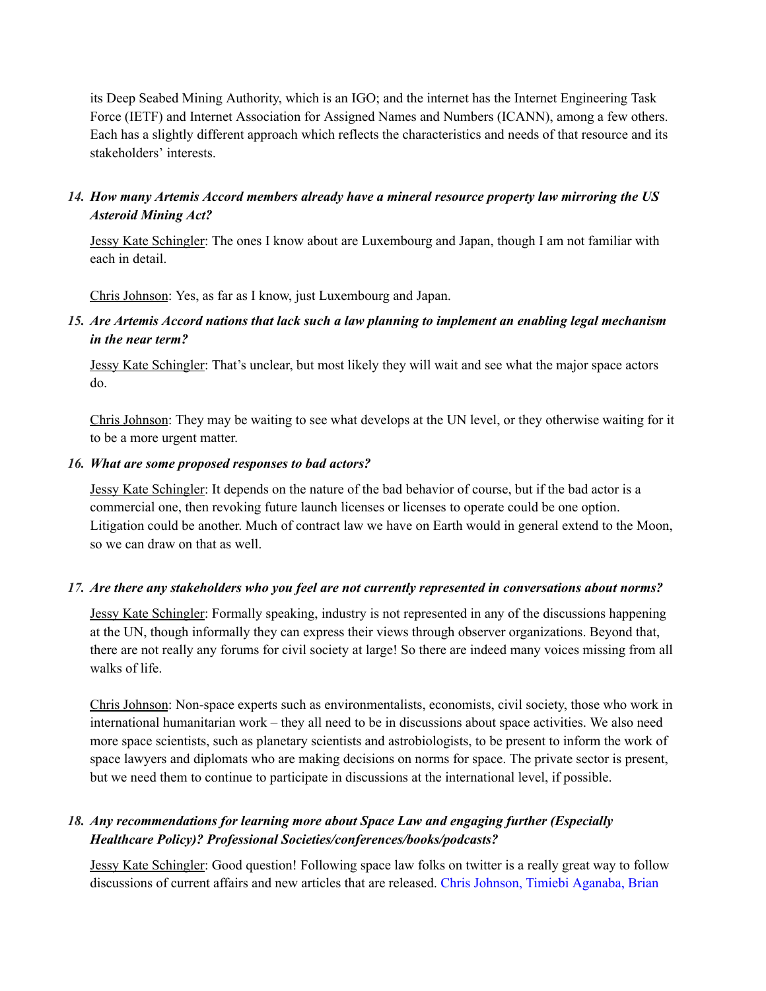its Deep Seabed Mining Authority, which is an IGO; and the internet has the Internet Engineering Task Force (IETF) and Internet Association for Assigned Names and Numbers (ICANN), among a few others. Each has a slightly different approach which reflects the characteristics and needs of that resource and its stakeholders' interests.

### *14. How many Artemis Accord members already have a mineral resource property law mirroring the US Asteroid Mining Act?*

Jessy Kate Schingler: The ones I know about are Luxembourg and Japan, though I am not familiar with each in detail.

Chris Johnson: Yes, as far as I know, just Luxembourg and Japan.

*15. Are Artemis Accord nations that lack such a law planning to implement an enabling legal mechanism in the near term?*

Jessy Kate Schingler: That's unclear, but most likely they will wait and see what the major space actors do.

Chris Johnson: They may be waiting to see what develops at the UN level, or they otherwise waiting for it to be a more urgent matter.

#### *16. What are some proposed responses to bad actors?*

Jessy Kate Schingler: It depends on the nature of the bad behavior of course, but if the bad actor is a commercial one, then revoking future launch licenses or licenses to operate could be one option. Litigation could be another. Much of contract law we have on Earth would in general extend to the Moon, so we can draw on that as well.

#### *17. Are there any stakeholders who you feel are not currently represented in conversations about norms?*

Jessy Kate Schingler: Formally speaking, industry is not represented in any of the discussions happening at the UN, though informally they can express their views through observer organizations. Beyond that, there are not really any forums for civil society at large! So there are indeed many voices missing from all walks of life.

Chris Johnson: Non-space experts such as environmentalists, economists, civil society, those who work in international humanitarian work – they all need to be in discussions about space activities. We also need more space scientists, such as planetary scientists and astrobiologists, to be present to inform the work of space lawyers and diplomats who are making decisions on norms for space. The private sector is present, but we need them to continue to participate in discussions at the international level, if possible.

### *18. Any recommendations for learning more about Space Law and engaging further (Especially Healthcare Policy)? Professional Societies/conferences/books/podcasts?*

Jessy Kate Schingler: Good question! Following space law folks on twitter is a really great way to follow discussions of current affairs and new articles that are released. Chris [Johnson,](https://twitter.com/ChrisJohnsonEsq) Timiebi [Aganaba](https://twitter.com/Timiebi89), [Brian](https://twitter.com/brianweeden?lang=en)